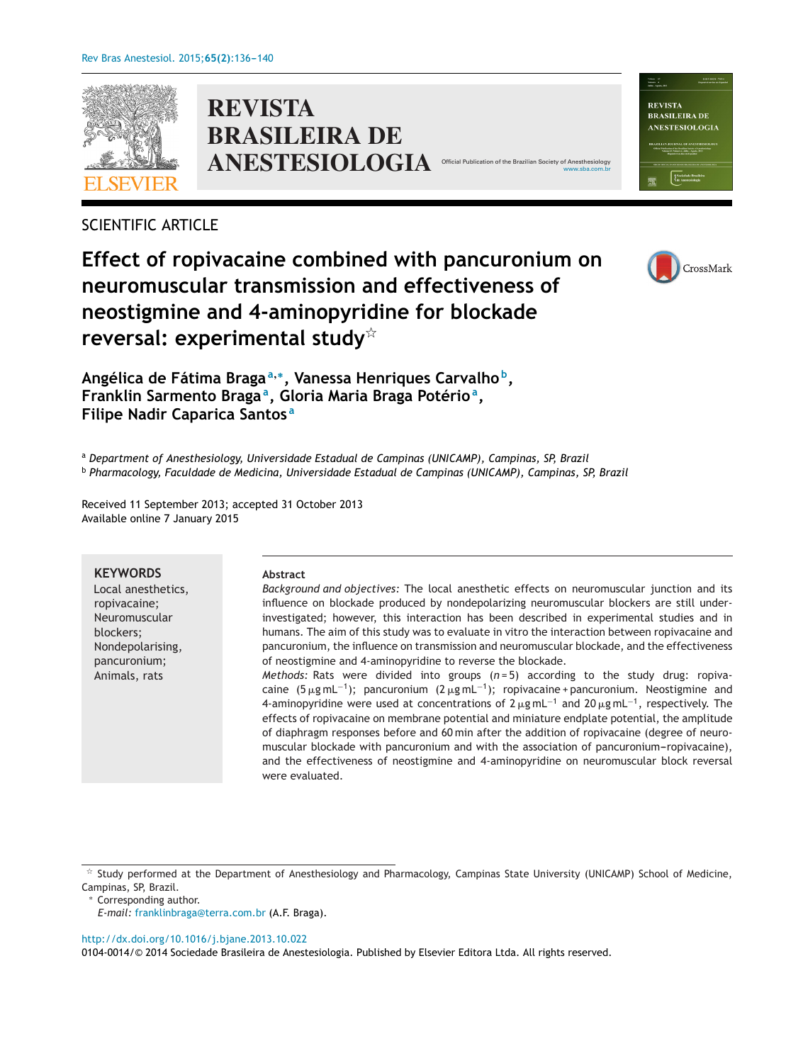

**REVISTA BRASILEIRA DE ANESTESIOLOGIA** Official Public

# SCIENTIFIC ARTICLE

# **Effect of ropivacaine combined with pancuronium on neuromuscular transmission and effectiveness of neostigmine and 4-aminopyridine for blockade reversal: experimental study**-



**Angélica de Fátima Braga<sup>a</sup>,∗, Vanessa Henriques Carvalho b, Franklin Sarmento Bragaa, Gloria Maria Braga Potérioa, Filipe Nadir Caparica Santos <sup>a</sup>**

<sup>a</sup> *Department of Anesthesiology, Universidade Estadual de Campinas (UNICAMP), Campinas, SP, Brazil* <sup>b</sup> *Pharmacology, Faculdade de Medicina, Universidade Estadual de Campinas (UNICAMP), Campinas, SP, Brazil*

Received 11 September 2013; accepted 31 October 2013 Available online 7 January 2015

#### **KEYWORDS**

Local anesthetics, ropivacaine; Neuromuscular blockers; Nondepolarising, pancuronium; Animals, rats

#### **Abstract**

*Background and objectives:* The local anesthetic effects on neuromuscular junction and its influence on blockade produced by nondepolarizing neuromuscular blockers are still underinvestigated; however, this interaction has been described in experimental studies and in humans. The aim of this study was to evaluate in vitro the interaction between ropivacaine and pancuronium, the influence on transmission and neuromuscular blockade, and the effectiveness of neostigmine and 4-aminopyridine to reverse the blockade.

*Methods:* Rats were divided into groups (*n* = 5) according to the study drug: ropivacaine (5 µg mL<sup>-1</sup>); pancuronium (2 µg mL<sup>-1</sup>); ropivacaine + pancuronium. Neostigmine and 4-aminopyridine were used at concentrations of 2  $\mu$ g mL<sup>-1</sup> and 20  $\mu$ g mL<sup>-1</sup>, respectively. The effects of ropivacaine on membrane potential and miniature endplate potential, the amplitude of diaphragm responses before and 60 min after the addition of ropivacaine (degree of neuromuscular blockade with pancuronium and with the association of pancuronium-ropivacaine), and the effectiveness of neostigmine and 4-aminopyridine on neuromuscular block reversal were evaluated.

∗ Corresponding author.

[http://dx.doi.org/10.1016/j.bjane.2013.10.022](dx.doi.org/10.1016/j.bjane.2013.10.022)

0104-0014/© 2014 Sociedade Brasileira de Anestesiologia. Published by Elsevier Editora Ltda. All rights reserved.



[www.sba.com.br](http://www.sba.com.br)

 $*$  Study performed at the Department of Anesthesiology and Pharmacology, Campinas State University (UNICAMP) School of Medicine, Campinas, SP, Brazil.

*E-mail:* [franklinbraga@terra.com.br](mailto:franklinbraga@terra.com.br) (A.F. Braga).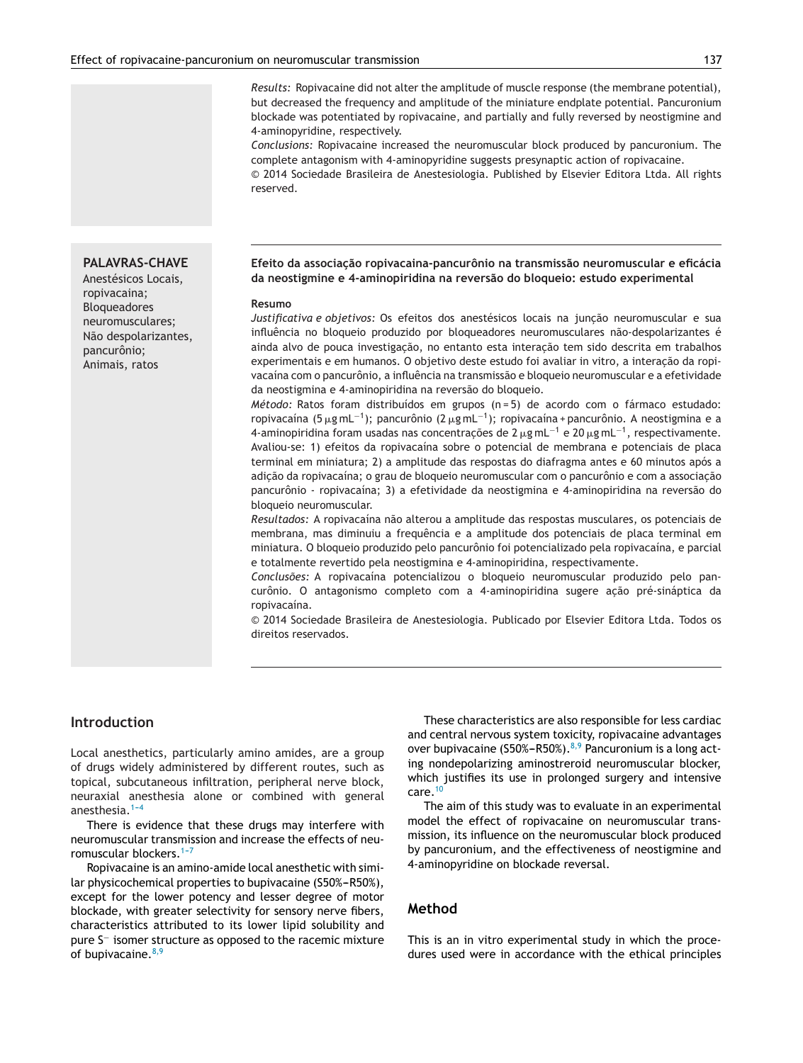*Results:* Ropivacaine did not alter the amplitude of muscle response (the membrane potential), but decreased the frequency and amplitude of the miniature endplate potential. Pancuronium blockade was potentiated by ropivacaine, and partially and fully reversed by neostigmine and 4-aminopyridine, respectively.

*Conclusions:* Ropivacaine increased the neuromuscular block produced by pancuronium. The complete antagonism with 4-aminopyridine suggests presynaptic action of ropivacaine. © 2014 Sociedade Brasileira de Anestesiologia. Published by Elsevier Editora Ltda. All rights reserved.

#### **PALAVRAS-CHAVE**

Anestésicos Locais, ropivacaina; Bloqueadores neuromusculares; Não despolarizantes, pancurônio; Animais, ratos

#### **Efeito da associac¸ão ropivacaina-pancurônio na transmissão neuromuscular e eficácia da neostigmine e 4-aminopiridina na reversão do bloqueio: estudo experimental**

#### **Resumo**

*Justificativa e objetivos:* Os efeitos dos anestésicos locais na junção neuromuscular e sua influência no bloqueio produzido por bloqueadores neuromusculares não-despolarizantes é ainda alvo de pouca investigação, no entanto esta interação tem sido descrita em trabalhos experimentais e em humanos. O objetivo deste estudo foi avaliar in vitro, a interação da ropivacaína com o pancurônio, a influência na transmissão e bloqueio neuromuscular e a efetividade da neostigmina e 4-aminopiridina na reversão do bloqueio.

*Método:* Ratos foram distribuídos em grupos (n = 5) de acordo com o fármaco estudado: ropivacaína (5 µg mL<sup>-1</sup>); pancurônio (2 µg mL<sup>-1</sup>); ropivacaína + pancurônio. A neostigmina e a 4-aminopiridina foram usadas nas concentrações de 2 µg mL $^{-1}$  e 20 µg mL $^{-1}$ , respectivamente. Avaliou-se: 1) efeitos da ropivacaína sobre o potencial de membrana e potenciais de placa terminal em miniatura; 2) a amplitude das respostas do diafragma antes e 60 minutos após a adição da ropivacaína; o grau de bloqueio neuromuscular com o pancurônio e com a associação pancurônio - ropivacaína; 3) a efetividade da neostigmina e 4-aminopiridina na reversão do bloqueio neuromuscular.

*Resultados:* A ropivacaína não alterou a amplitude das respostas musculares, os potenciais de membrana, mas diminuiu a frequência e a amplitude dos potenciais de placa terminal em miniatura. O bloqueio produzido pelo pancurônio foi potencializado pela ropivacaína, e parcial e totalmente revertido pela neostigmina e 4-aminopiridina, respectivamente.

*Conclusões:* A ropivacaína potencializou o bloqueio neuromuscular produzido pelo pancurônio. O antagonismo completo com a 4-aminopiridina sugere ação pré-sináptica da ropivacaína.

© 2014 Sociedade Brasileira de Anestesiologia. Publicado por Elsevier Editora Ltda. Todos os direitos reservados.

### **Introduction**

Local anesthetics, particularly amino amides, are a group of drugs widely administered by different routes, such as topical, subcutaneous infiltration, peripheral nerve block, neuraxial anesthesia alone or combined with general anesthesia. $1-4$ 

There is evidence that these drugs may interfere with neuromuscular transmission and increase the effects of neuromuscular blockers.<sup>1-7</sup>

Ropivacaine is an amino-amide local anesthetic with similar physicochemical properties to bupivacaine (S50%-R50%), except for the lower potency and lesser degree of motor blockade, with greater selectivity for sensory nerve fibers, characteristics attributed to its lower lipid solubility and pure S<sup>-</sup> isomer structure as opposed to the racemic mixture of bupivacaine. $8,9$ 

These characteristics are also responsible for less cardiac and central nervous system toxicity, ropivacaine advantages over bupivacaine (S50%-R50%). $8,9$  Pancuronium is a long acting nondepolarizing aminostreroid neuromuscular blocker, which justifies its use in prolonged surgery and intensive care.[10](#page-4-0)

The aim of this study was to evaluate in an experimental model the effect of ropivacaine on neuromuscular transmission, its influence on the neuromuscular block produced by pancuronium, and the effectiveness of neostigmine and 4-aminopyridine on blockade reversal.

# **Method**

This is an in vitro experimental study in which the procedures used were in accordance with the ethical principles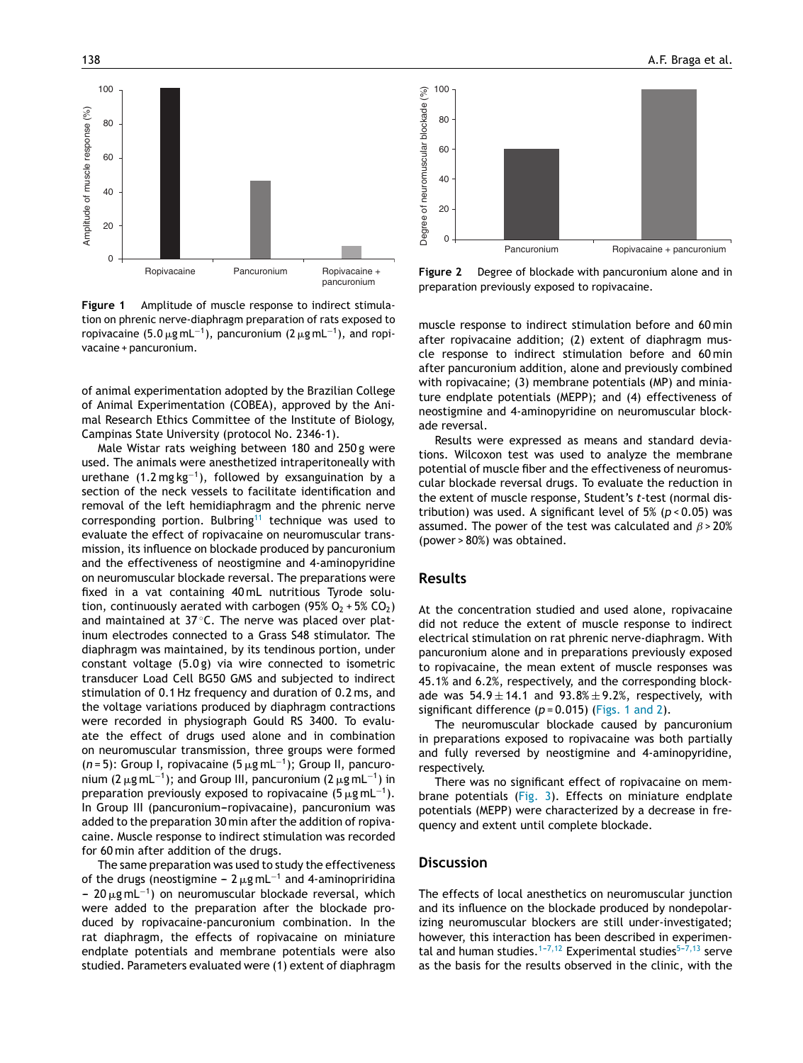

**Figure 1** Amplitude of muscle response to indirect stimulation on phrenic nerve-diaphragm preparation of rats exposed to ropivacaine (5.0  $\mu$ g mL<sup>−1</sup>), pancuronium (2  $\mu$ g mL<sup>−1</sup>), and ropivacaine + pancuronium.

of animal experimentation adopted by the Brazilian College of Animal Experimentation (COBEA), approved by the Animal Research Ethics Committee of the Institute of Biology, Campinas State University (protocol No. 2346-1).

Male Wistar rats weighing between 180 and 250 g were used. The animals were anesthetized intraperitoneally with urethane  $(1.2 \text{ mg kg}^{-1})$ , followed by exsanguination by a section of the neck vessels to facilitate identification and removal of the left hemidiaphragm and the phrenic nerve corresponding portion. Bulbring<sup>[11](#page-4-0)</sup> technique was used to evaluate the effect of ropivacaine on neuromuscular transmission, its influence on blockade produced by pancuronium and the effectiveness of neostigmine and 4-aminopyridine on neuromuscular blockade reversal. The preparations were fixed in a vat containing 40 mL nutritious Tyrode solution, continuously aerated with carbogen (95%  $O_2$  + 5%  $CO_2$ ) and maintained at 37 ℃. The nerve was placed over platinum electrodes connected to a Grass S48 stimulator. The diaphragm was maintained, by its tendinous portion, under constant voltage (5.0 g) via wire connected to isometric transducer Load Cell BG50 GMS and subjected to indirect stimulation of 0.1 Hz frequency and duration of 0.2 ms, and the voltage variations produced by diaphragm contractions were recorded in physiograph Gould RS 3400. To evaluate the effect of drugs used alone and in combination on neuromuscular transmission, three groups were formed (*n* = 5): Group I, ropivacaine (5 μg mL<sup>-1</sup>); Group II, pancuronium (2  $\mu$ g mL<sup>−1</sup>); and Group III, pancuronium (2  $\mu$ g mL<sup>−1</sup>) in preparation previously exposed to ropivacaine (5  $\mu$ g mL<sup>-1</sup>). In Group III (pancuronium-ropivacaine), pancuronium was added to the preparation 30 min after the addition of ropivacaine. Muscle response to indirect stimulation was recorded for 60 min after addition of the drugs.

The same preparation was used to study the effectiveness of the drugs (neostigmine – 2  $\mu$ g mL<sup>-1</sup> and 4-aminopriridina - 20 μg mL<sup>-1</sup>) on neuromuscular blockade reversal, which were added to the preparation after the blockade produced by ropivacaine-pancuronium combination. In the rat diaphragm, the effects of ropivacaine on miniature endplate potentials and membrane potentials were also studied. Parameters evaluated were (1) extent of diaphragm



**Figure 2** Degree of blockade with pancuronium alone and in preparation previously exposed to ropivacaine.

muscle response to indirect stimulation before and 60 min after ropivacaine addition; (2) extent of diaphragm muscle response to indirect stimulation before and 60 min after pancuronium addition, alone and previously combined with ropivacaine; (3) membrane potentials (MP) and miniature endplate potentials (MEPP); and (4) effectiveness of neostigmine and 4-aminopyridine on neuromuscular blockade reversal.

Results were expressed as means and standard deviations. Wilcoxon test was used to analyze the membrane potential of muscle fiber and the effectiveness of neuromuscular blockade reversal drugs. To evaluate the reduction in the extent of muscle response, Student's *t*-test (normal distribution) was used. A significant level of 5% (*p* < 0.05) was assumed. The power of the test was calculated and  $\beta$  > 20% (power > 80%) was obtained.

# **Results**

At the concentration studied and used alone, ropivacaine did not reduce the extent of muscle response to indirect electrical stimulation on rat phrenic nerve-diaphragm. With pancuronium alone and in preparations previously exposed to ropivacaine, the mean extent of muscle responses was 45.1% and 6.2%, respectively, and the corresponding blockade was  $54.9 \pm 14.1$  and  $93.8\% \pm 9.2\%$ , respectively, with significant difference  $(p = 0.015)$  (Figs. 1 and 2).

The neuromuscular blockade caused by pancuronium in preparations exposed to ropivacaine was both partially and fully reversed by neostigmine and 4-aminopyridine, respectively.

There was no significant effect of ropivacaine on membrane potentials [\(Fig.](#page-3-0) 3). Effects on miniature endplate potentials (MEPP) were characterized by a decrease in frequency and extent until complete blockade.

#### **Discussion**

The effects of local anesthetics on neuromuscular junction and its influence on the blockade produced by nondepolarizing neuromuscular blockers are still under-investigated; however, this interaction has been described in experimental and human studies.<sup>1-7,12</sup> Experimental studies<sup>5-7,13</sup> serve as the basis for the results observed in the clinic, with the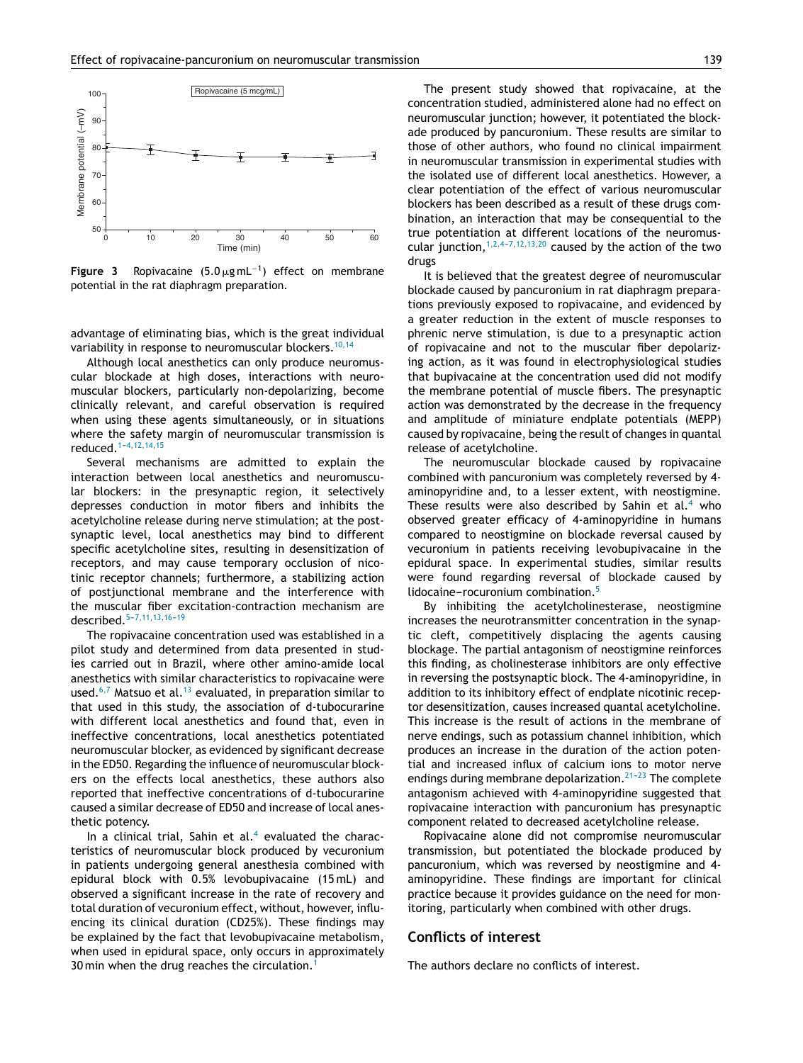<span id="page-3-0"></span>

**Figure 3** Ropivacaine (5.0µgmL<sup>-1</sup>) effect on membrane potential in the rat diaphragm preparation.

advantage of eliminating bias, which is the great individual variability in response to neuromuscular blockers.<sup>[10,14](#page-4-0)</sup>

Although local anesthetics can only produce neuromuscular blockade at high doses, interactions with neuromuscular blockers, particularly non-depolarizing, become clinically relevant, and careful observation is required when using these agents simultaneously, or in situations where the safety margin of neuromuscular transmission is reduced.<sup>1-4,12,14,15</sup>

Several mechanisms are admitted to explain the interaction between local anesthetics and neuromuscular blockers: in the presynaptic region, it selectively depresses conduction in motor fibers and inhibits the acetylcholine release during nerve stimulation; at the postsynaptic level, local anesthetics may bind to different specific acetylcholine sites, resulting in desensitization of receptors, and may cause temporary occlusion of nicotinic receptor channels; furthermore, a stabilizing action of postjunctional membrane and the interference with the muscular fiber excitation-contraction mechanism are described.<sup>5-7,11,13,16-19</sup>

The ropivacaine concentration used was established in a pilot study and determined from data presented in studies carried out in Brazil, where other amino-amide local anesthetics with similar characteristics to ropivacaine were used.<sup>[6,7](#page-4-0)</sup> Matsuo et al.<sup>[13](#page-4-0)</sup> evaluated, in preparation similar to that used in this study, the association of d-tubocurarine with different local anesthetics and found that, even in ineffective concentrations, local anesthetics potentiated neuromuscular blocker, as evidenced by significant decrease in the ED50. Regarding the influence of neuromuscular blockers on the effects local anesthetics, these authors also reported that ineffective concentrations of d-tubocurarine caused a similar decrease of ED50 and increase of local anesthetic potency.

In a clinical trial, Sahin et al. $4$  evaluated the characteristics of neuromuscular block produced by vecuronium in patients undergoing general anesthesia combined with epidural block with 0.5% levobupivacaine (15 mL) and observed a significant increase in the rate of recovery and total duration of vecuronium effect, without, however, influencing its clinical duration (CD25%). These findings may be explained by the fact that levobupivacaine metabolism, when used in epidural space, only occurs in approximately 30 min when the drug reaches the circulation.<sup>[1](#page-4-0)</sup>

The present study showed that ropivacaine, at the concentration studied, administered alone had no effect on neuromuscular junction; however, it potentiated the blockade produced by pancuronium. These results are similar to those of other authors, who found no clinical impairment in neuromuscular transmission in experimental studies with the isolated use of different local anesthetics. However, a clear potentiation of the effect of various neuromuscular blockers has been described as a result of these drugs combination, an interaction that may be consequential to the true potentiation at different locations of the neuromuscular junction,  $1,2,4-7,12,13,20$  caused by the action of the two drugs

It is believed that the greatest degree of neuromuscular blockade caused by pancuronium in rat diaphragm preparations previously exposed to ropivacaine, and evidenced by a greater reduction in the extent of muscle responses to phrenic nerve stimulation, is due to a presynaptic action of ropivacaine and not to the muscular fiber depolarizing action, as it was found in electrophysiological studies that bupivacaine at the concentration used did not modify the membrane potential of muscle fibers. The presynaptic action was demonstrated by the decrease in the frequency and amplitude of miniature endplate potentials (MEPP) caused by ropivacaine, being the result of changes in quantal release of acetylcholine.

The neuromuscular blockade caused by ropivacaine combined with pancuronium was completely reversed by 4 aminopyridine and, to a lesser extent, with neostigmine. These results were also described by Sahin et al.<sup>[4](#page-4-0)</sup> who observed greater efficacy of 4-aminopyridine in humans compared to neostigmine on blockade reversal caused by vecuronium in patients receiving levobupivacaine in the epidural space. In experimental studies, similar results were found regarding reversal of blockade caused by lidocaine-rocuronium combination. $5$ 

By inhibiting the acetylcholinesterase, neostigmine increases the neurotransmitter concentration in the synaptic cleft, competitively displacing the agents causing blockage. The partial antagonism of neostigmine reinforces this finding, as cholinesterase inhibitors are only effective in reversing the postsynaptic block. The 4-aminopyridine, in addition to its inhibitory effect of endplate nicotinic receptor desensitization, causes increased quantal acetylcholine. This increase is the result of actions in the membrane of nerve endings, such as potassium channel inhibition, which produces an increase in the duration of the action potential and increased influx of calcium ions to motor nerve endings during membrane depolarization.<sup>21-23</sup> The complete antagonism achieved with 4-aminopyridine suggested that ropivacaine interaction with pancuronium has presynaptic component related to decreased acetylcholine release.

Ropivacaine alone did not compromise neuromuscular transmission, but potentiated the blockade produced by pancuronium, which was reversed by neostigmine and 4 aminopyridine. These findings are important for clinical practice because it provides guidance on the need for monitoring, particularly when combined with other drugs.

# **Conflicts of interest**

The authors declare no conflicts of interest.